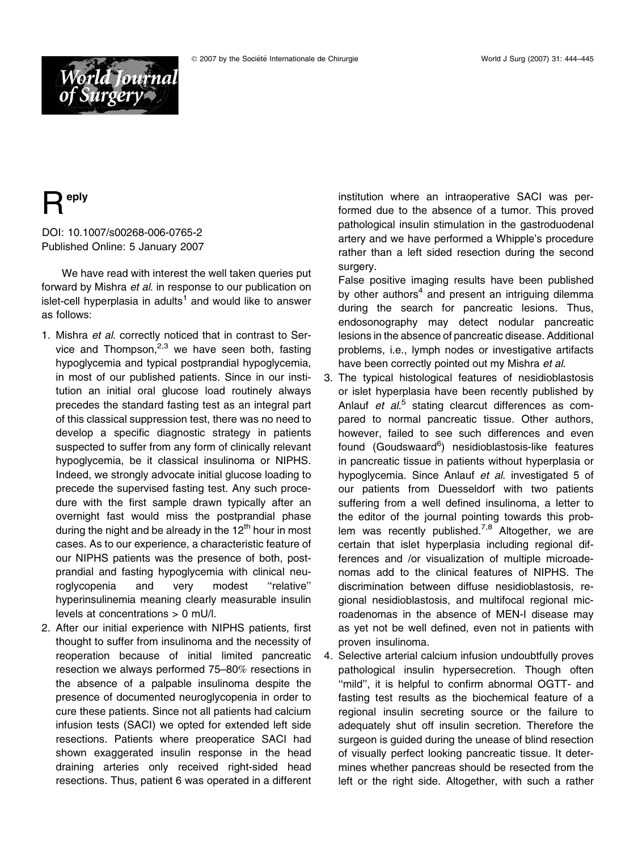



## eply

## DOI: 10.1007/s00268-006-0765-2 Published Online: 5 January 2007

We have read with interest the well taken queries put forward by Mishra et al. in response to our publication on islet-cell hyperplasia in adults<sup>1</sup> and would like to answer as follows:

- 1. Mishra et al. correctly noticed that in contrast to Service and Thompson, $2,3$  we have seen both, fasting hypoglycemia and typical postprandial hypoglycemia, in most of our published patients. Since in our institution an initial oral glucose load routinely always precedes the standard fasting test as an integral part of this classical suppression test, there was no need to develop a specific diagnostic strategy in patients suspected to suffer from any form of clinically relevant hypoglycemia, be it classical insulinoma or NIPHS. Indeed, we strongly advocate initial glucose loading to precede the supervised fasting test. Any such procedure with the first sample drawn typically after an overnight fast would miss the postprandial phase during the night and be already in the  $12<sup>th</sup>$  hour in most cases. As to our experience, a characteristic feature of our NIPHS patients was the presence of both, postprandial and fasting hypoglycemia with clinical neuroglycopenia and very modest ''relative'' hyperinsulinemia meaning clearly measurable insulin levels at concentrations > 0 mU/l.
- 2. After our initial experience with NIPHS patients, first thought to suffer from insulinoma and the necessity of reoperation because of initial limited pancreatic resection we always performed 75–80*%* resections in the absence of a palpable insulinoma despite the presence of documented neuroglycopenia in order to cure these patients. Since not all patients had calcium infusion tests (SACI) we opted for extended left side resections. Patients where preoperatice SACI had shown exaggerated insulin response in the head draining arteries only received right-sided head resections. Thus, patient 6 was operated in a different

institution where an intraoperative SACI was performed due to the absence of a tumor. This proved pathological insulin stimulation in the gastroduodenal artery and we have performed a Whipple's procedure rather than a left sided resection during the second surgery.

False positive imaging results have been published by other authors<sup>4</sup> and present an intriguing dilemma during the search for pancreatic lesions. Thus, endosonography may detect nodular pancreatic lesions in the absence of pancreatic disease. Additional problems, i.e., lymph nodes or investigative artifacts have been correctly pointed out my Mishra et al.

- 3. The typical histological features of nesidioblastosis or islet hyperplasia have been recently published by Anlauf et al.<sup>5</sup> stating clearcut differences as compared to normal pancreatic tissue. Other authors, however, failed to see such differences and even found (Goudswaard<sup>6</sup>) nesidioblastosis-like features in pancreatic tissue in patients without hyperplasia or hypoglycemia. Since Anlauf et al. investigated 5 of our patients from Duesseldorf with two patients suffering from a well defined insulinoma, a letter to the editor of the journal pointing towards this problem was recently published.<sup>7,8</sup> Altogether, we are certain that islet hyperplasia including regional differences and /or visualization of multiple microadenomas add to the clinical features of NIPHS. The discrimination between diffuse nesidioblastosis, regional nesidioblastosis, and multifocal regional microadenomas in the absence of MEN-I disease may as yet not be well defined, even not in patients with proven insulinoma.
- 4. Selective arterial calcium infusion undoubtfully proves pathological insulin hypersecretion. Though often "mild", it is helpful to confirm abnormal OGTT- and fasting test results as the biochemical feature of a regional insulin secreting source or the failure to adequately shut off insulin secretion. Therefore the surgeon is guided during the unease of blind resection of visually perfect looking pancreatic tissue. It determines whether pancreas should be resected from the left or the right side. Altogether, with such a rather